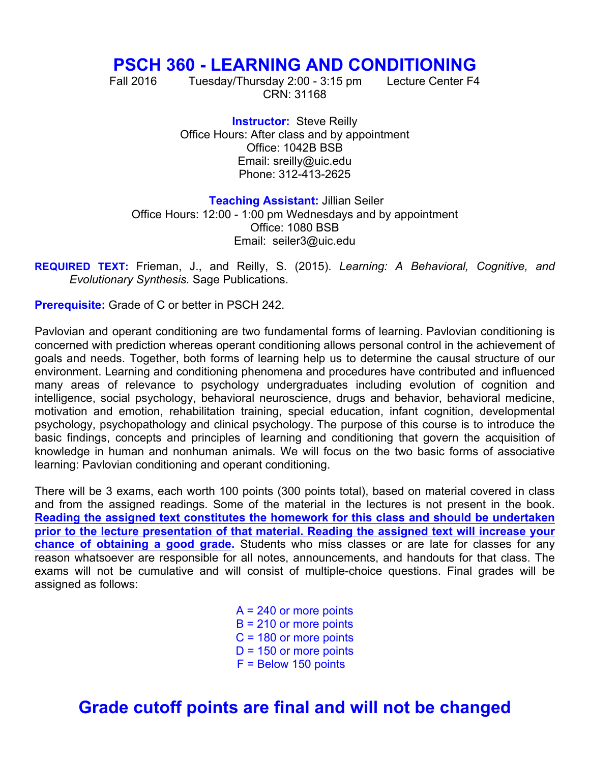## **PSCH 360 - LEARNING AND CONDITIONING**

Fall 2016 Tuesday/Thursday 2:00 - 3:15 pm Lecture Center F4 CRN: 31168

**Instructor: Steve Reilly** Office Hours: After class and by appointment Office: 1042B BSB Email: sreilly@uic.edu Phone: 312-413-2625

**Teaching Assistant:** Jillian Seiler

Office Hours: 12:00 - 1:00 pm Wednesdays and by appointment Office: 1080 BSB Email: seiler3@uic.edu

**REQUIRED TEXT:** Frieman, J., and Reilly, S. (2015). *Learning: A Behavioral, Cognitive, and* *Evolutionary Synthesis.* Sage Publications.

**Prerequisite:** Grade of C or better in PSCH 242.

Pavlovian and operant conditioning are two fundamental forms of learning. Pavlovian conditioning is concerned with prediction whereas operant conditioning allows personal control in the achievement of goals and needs. Together, both forms of learning help us to determine the causal structure of our environment. Learning and conditioning phenomena and procedures have contributed and influenced many areas of relevance to psychology undergraduates including evolution of cognition and intelligence, social psychology, behavioral neuroscience, drugs and behavior, behavioral medicine, motivation and emotion, rehabilitation training, special education, infant cognition, developmental psychology, psychopathology and clinical psychology. The purpose of this course is to introduce the basic findings, concepts and principles of learning and conditioning that govern the acquisition of knowledge in human and nonhuman animals. We will focus on the two basic forms of associative learning: Pavlovian conditioning and operant conditioning.

There will be 3 exams, each worth 100 points (300 points total), based on material covered in class and from the assigned readings. Some of the material in the lectures is not present in the book. **Reading the assigned text constitutes the homework for this class and should be undertaken prior to the lecture presentation of that material. Reading the assigned text will increase your chance of obtaining a good grade.** Students who miss classes or are late for classes for any reason whatsoever are responsible for all notes, announcements, and handouts for that class. The exams will not be cumulative and will consist of multiple-choice questions. Final grades will be assigned as follows:

> $A = 240$  or more points  $B = 210$  or more points C = 180 or more points  $D = 150$  or more points F = Below 150 points

## **Grade cutoff points are final and will not be changed**